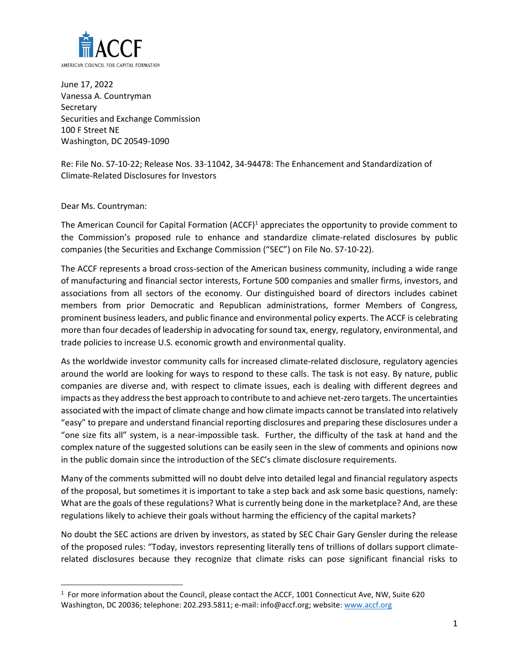

June 17, 2022 Vanessa A. Countryman **Secretary** Securities and Exchange Commission 100 F Street NE Washington, DC 20549-1090

Re: File No. S7-10-22; Release Nos. 33-11042, 34-94478: The Enhancement and Standardization of Climate-Related Disclosures for Investors

#### Dear Ms. Countryman:

The American Council for Capital Formation (ACCF)<sup>1</sup> appreciates the opportunity to provide comment to the Commission's proposed rule to enhance and standardize climate-related disclosures by public companies (the Securities and Exchange Commission ("SEC") on File No. S7-10-22).

The ACCF represents a broad cross-section of the American business community, including a wide range of manufacturing and financial sector interests, Fortune 500 companies and smaller firms, investors, and associations from all sectors of the economy. Our distinguished board of directors includes cabinet members from prior Democratic and Republican administrations, former Members of Congress, prominent business leaders, and public finance and environmental policy experts. The ACCF is celebrating more than four decades of leadership in advocating for sound tax, energy, regulatory, environmental, and trade policies to increase U.S. economic growth and environmental quality.

As the worldwide investor community calls for increased climate-related disclosure, regulatory agencies around the world are looking for ways to respond to these calls. The task is not easy. By nature, public companies are diverse and, with respect to climate issues, each is dealing with different degrees and impacts as they address the best approach to contribute to and achieve net-zero targets. The uncertainties associated with the impact of climate change and how climate impacts cannot be translated into relatively "easy" to prepare and understand financial reporting disclosures and preparing these disclosures under a "one size fits all" system, is a near-impossible task. Further, the difficulty of the task at hand and the complex nature of the suggested solutions can be easily seen in the slew of comments and opinions now in the public domain since the introduction of the SEC's climate disclosure requirements.

Many of the comments submitted will no doubt delve into detailed legal and financial regulatory aspects of the proposal, but sometimes it is important to take a step back and ask some basic questions, namely: What are the goals of these regulations? What is currently being done in the marketplace? And, are these regulations likely to achieve their goals without harming the efficiency of the capital markets?

No doubt the SEC actions are driven by investors, as stated by SEC Chair Gary Gensler during the release of the proposed rules: "Today, investors representing literally tens of trillions of dollars support climaterelated disclosures because they recognize that climate risks can pose significant financial risks to

 $<sup>1</sup>$  For more information about the Council, please contact the ACCF, 1001 Connecticut Ave, NW, Suite 620</sup> Washington, DC 20036; telephone: 202.293.5811; e-mail: info@accf.org; website[: www.accf.org](http://www.accf.org/)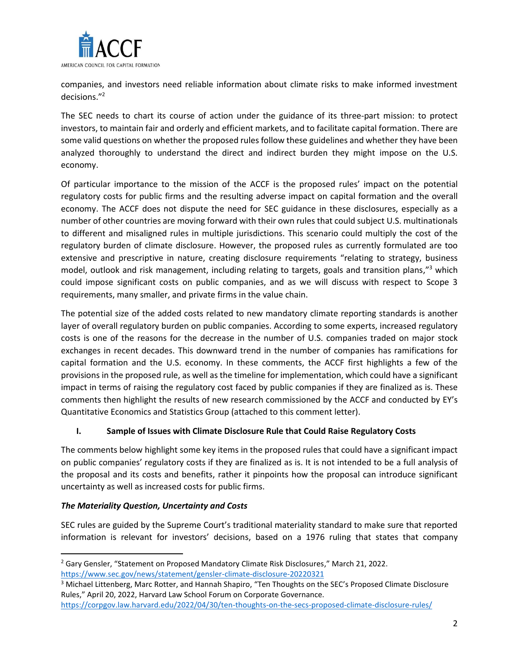

companies, and investors need reliable information about climate risks to make informed investment decisions."<sup>2</sup>

The SEC needs to chart its course of action under the guidance of its three-part mission: to protect investors, to maintain fair and orderly and efficient markets, and to facilitate capital formation. There are some valid questions on whether the proposed rules follow these guidelines and whether they have been analyzed thoroughly to understand the direct and indirect burden they might impose on the U.S. economy.

Of particular importance to the mission of the ACCF is the proposed rules' impact on the potential regulatory costs for public firms and the resulting adverse impact on capital formation and the overall economy. The ACCF does not dispute the need for SEC guidance in these disclosures, especially as a number of other countries are moving forward with their own rules that could subject U.S. multinationals to different and misaligned rules in multiple jurisdictions. This scenario could multiply the cost of the regulatory burden of climate disclosure. However, the proposed rules as currently formulated are too extensive and prescriptive in nature, creating disclosure requirements "relating to strategy, business model, outlook and risk management, including relating to targets, goals and transition plans,"<sup>3</sup> which could impose significant costs on public companies, and as we will discuss with respect to Scope 3 requirements, many smaller, and private firms in the value chain.

The potential size of the added costs related to new mandatory climate reporting standards is another layer of overall regulatory burden on public companies. According to some experts, increased regulatory costs is one of the reasons for the decrease in the number of U.S. companies traded on major stock exchanges in recent decades. This downward trend in the number of companies has ramifications for capital formation and the U.S. economy. In these comments, the ACCF first highlights a few of the provisions in the proposed rule, as well as the timeline for implementation, which could have a significant impact in terms of raising the regulatory cost faced by public companies if they are finalized as is. These comments then highlight the results of new research commissioned by the ACCF and conducted by EY's Quantitative Economics and Statistics Group (attached to this comment letter).

# **I. Sample of Issues with Climate Disclosure Rule that Could Raise Regulatory Costs**

The comments below highlight some key items in the proposed rules that could have a significant impact on public companies' regulatory costs if they are finalized as is. It is not intended to be a full analysis of the proposal and its costs and benefits, rather it pinpoints how the proposal can introduce significant uncertainty as well as increased costs for public firms.

# *The Materiality Question, Uncertainty and Costs*

SEC rules are guided by the Supreme Court's traditional materiality standard to make sure that reported information is relevant for investors' decisions, based on a 1976 ruling that states that company

<https://corpgov.law.harvard.edu/2022/04/30/ten-thoughts-on-the-secs-proposed-climate-disclosure-rules/>

<sup>2</sup> Gary Gensler, "Statement on Proposed Mandatory Climate Risk Disclosures," March 21, 2022. <https://www.sec.gov/news/statement/gensler-climate-disclosure-20220321>

<sup>&</sup>lt;sup>3</sup> Michael Littenberg, Marc Rotter, and Hannah Shapiro, "Ten Thoughts on the SEC's Proposed Climate Disclosure Rules," April 20, 2022, Harvard Law School Forum on Corporate Governance.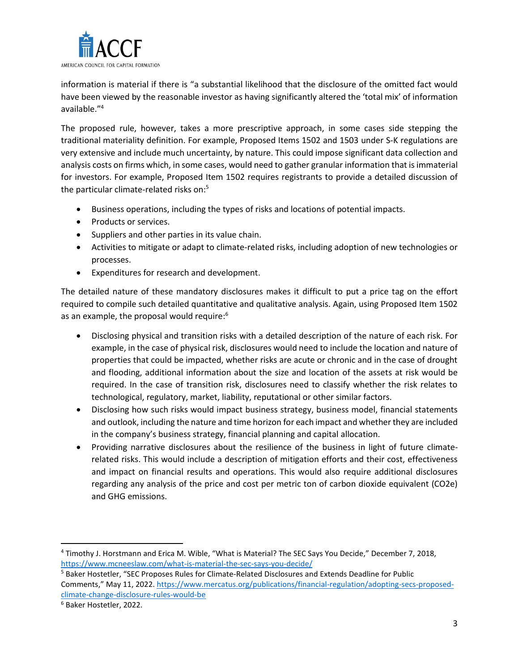

information is material if there is "a substantial likelihood that the disclosure of the omitted fact would have been viewed by the reasonable investor as having significantly altered the 'total mix' of information available."<sup>4</sup>

The proposed rule, however, takes a more prescriptive approach, in some cases side stepping the traditional materiality definition. For example, Proposed Items 1502 and 1503 under S-K regulations are very extensive and include much uncertainty, by nature. This could impose significant data collection and analysis costs on firms which, in some cases, would need to gather granular information that is immaterial for investors. For example, Proposed Item 1502 requires registrants to provide a detailed discussion of the particular climate-related risks on:<sup>5</sup>

- Business operations, including the types of risks and locations of potential impacts.
- Products or services.
- Suppliers and other parties in its value chain.
- Activities to mitigate or adapt to climate-related risks, including adoption of new technologies or processes.
- Expenditures for research and development.

The detailed nature of these mandatory disclosures makes it difficult to put a price tag on the effort required to compile such detailed quantitative and qualitative analysis. Again, using Proposed Item 1502 as an example, the proposal would require: 6

- Disclosing physical and transition risks with a detailed description of the nature of each risk. For example, in the case of physical risk, disclosures would need to include the location and nature of properties that could be impacted, whether risks are acute or chronic and in the case of drought and flooding, additional information about the size and location of the assets at risk would be required. In the case of transition risk, disclosures need to classify whether the risk relates to technological, regulatory, market, liability, reputational or other similar factors.
- Disclosing how such risks would impact business strategy, business model, financial statements and outlook, including the nature and time horizon for each impact and whether they are included in the company's business strategy, financial planning and capital allocation.
- Providing narrative disclosures about the resilience of the business in light of future climaterelated risks. This would include a description of mitigation efforts and their cost, effectiveness and impact on financial results and operations. This would also require additional disclosures regarding any analysis of the price and cost per metric ton of carbon dioxide equivalent (CO2e) and GHG emissions.

<sup>4</sup> Timothy J. Horstmann and Erica M. Wible, "What is Material? The SEC Says You Decide," December 7, 2018, <https://www.mcneeslaw.com/what-is-material-the-sec-says-you-decide/>

<sup>5</sup> Baker Hostetler, "SEC Proposes Rules for Climate-Related Disclosures and Extends Deadline for Public Comments," May 11, 2022. [https://www.mercatus.org/publications/financial-regulation/adopting-secs-proposed](https://www.mercatus.org/publications/financial-regulation/adopting-secs-proposed-climate-change-disclosure-rules-would-be)[climate-change-disclosure-rules-would-be](https://www.mercatus.org/publications/financial-regulation/adopting-secs-proposed-climate-change-disclosure-rules-would-be)

<sup>6</sup> Baker Hostetler, 2022.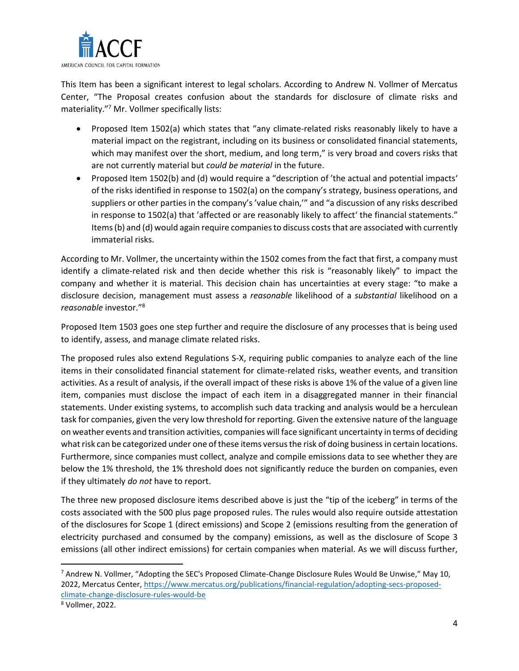

This Item has been a significant interest to legal scholars. According to Andrew N. Vollmer of Mercatus Center, "The Proposal creates confusion about the standards for disclosure of climate risks and materiality." <sup>7</sup> Mr. Vollmer specifically lists:

- Proposed Item 1502(a) which states that "any climate-related risks reasonably likely to have a material impact on the registrant, including on its business or consolidated financial statements, which may manifest over the short, medium, and long term," is very broad and covers risks that are not currently material but *could be material* in the future.
- Proposed Item 1502(b) and (d) would require a "description of 'the actual and potential impacts' of the risks identified in response to 1502(a) on the company's strategy, business operations, and suppliers or other parties in the company's 'value chain,'" and "a discussion of any risks described in response to 1502(a) that 'affected or are reasonably likely to affect' the financial statements." Items (b) and (d) would again require companies to discuss costs that are associated with currently immaterial risks.

According to Mr. Vollmer, the uncertainty within the 1502 comes from the fact that first, a company must identify a climate-related risk and then decide whether this risk is "reasonably likely" to impact the company and whether it is material. This decision chain has uncertainties at every stage: "to make a disclosure decision, management must assess a *reasonable* likelihood of a *substantial* likelihood on a *reasonable* investor." 8

Proposed Item 1503 goes one step further and require the disclosure of any processes that is being used to identify, assess, and manage climate related risks.

The proposed rules also extend Regulations S-X, requiring public companies to analyze each of the line items in their consolidated financial statement for climate-related risks, weather events, and transition activities. As a result of analysis, if the overall impact of these risks is above 1% of the value of a given line item, companies must disclose the impact of each item in a disaggregated manner in their financial statements. Under existing systems, to accomplish such data tracking and analysis would be a herculean task for companies, given the very low threshold for reporting. Given the extensive nature of the language on weather events and transition activities, companies will face significant uncertainty in terms of deciding what risk can be categorized under one of these items versus the risk of doing business in certain locations. Furthermore, since companies must collect, analyze and compile emissions data to see whether they are below the 1% threshold, the 1% threshold does not significantly reduce the burden on companies, even if they ultimately *do not* have to report.

The three new proposed disclosure items described above is just the "tip of the iceberg" in terms of the costs associated with the 500 plus page proposed rules. The rules would also require outside attestation of the disclosures for Scope 1 (direct emissions) and Scope 2 (emissions resulting from the generation of electricity purchased and consumed by the company) emissions, as well as the disclosure of Scope 3 emissions (all other indirect emissions) for certain companies when material. As we will discuss further,

 $^7$  Andrew N. Vollmer, "Adopting the SEC's Proposed Climate-Change Disclosure Rules Would Be Unwise," May 10, 2022, Mercatus Center, [https://www.mercatus.org/publications/financial-regulation/adopting-secs-proposed](https://www.mercatus.org/publications/financial-regulation/adopting-secs-proposed-climate-change-disclosure-rules-would-be)[climate-change-disclosure-rules-would-be](https://www.mercatus.org/publications/financial-regulation/adopting-secs-proposed-climate-change-disclosure-rules-would-be)

<sup>8</sup> Vollmer, 2022.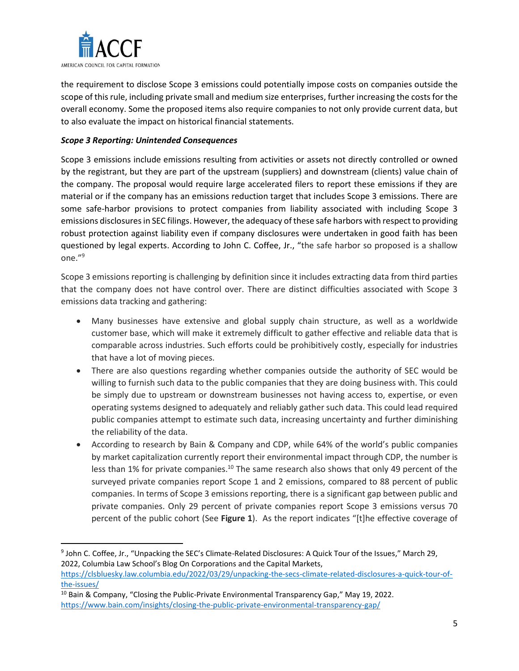

the requirement to disclose Scope 3 emissions could potentially impose costs on companies outside the scope of this rule, including private small and medium size enterprises, further increasing the costs for the overall economy. Some the proposed items also require companies to not only provide current data, but to also evaluate the impact on historical financial statements.

#### *Scope 3 Reporting: Unintended Consequences*

Scope 3 emissions include emissions resulting from activities or assets not directly controlled or owned by the registrant, but they are part of the upstream (suppliers) and downstream (clients) value chain of the company. The proposal would require large accelerated filers to report these emissions if they are material or if the company has an emissions reduction target that includes Scope 3 emissions. There are some safe-harbor provisions to protect companies from liability associated with including Scope 3 emissions disclosures in SEC filings. However, the adequacy of these safe harbors with respect to providing robust protection against liability even if company disclosures were undertaken in good faith has been questioned by legal experts. According to John C. Coffee, Jr., "the safe harbor so proposed is a shallow one."<sup>9</sup>

Scope 3 emissions reporting is challenging by definition since it includes extracting data from third parties that the company does not have control over. There are distinct difficulties associated with Scope 3 emissions data tracking and gathering:

- Many businesses have extensive and global supply chain structure, as well as a worldwide customer base, which will make it extremely difficult to gather effective and reliable data that is comparable across industries. Such efforts could be prohibitively costly, especially for industries that have a lot of moving pieces.
- There are also questions regarding whether companies outside the authority of SEC would be willing to furnish such data to the public companies that they are doing business with. This could be simply due to upstream or downstream businesses not having access to, expertise, or even operating systems designed to adequately and reliably gather such data. This could lead required public companies attempt to estimate such data, increasing uncertainty and further diminishing the reliability of the data.
- According to research by Bain & Company and CDP, while 64% of the world's public companies by market capitalization currently report their environmental impact through CDP, the number is less than 1% for private companies.<sup>10</sup> The same research also shows that only 49 percent of the surveyed private companies report Scope 1 and 2 emissions, compared to 88 percent of public companies. In terms of Scope 3 emissions reporting, there is a significant gap between public and private companies. Only 29 percent of private companies report Scope 3 emissions versus 70 percent of the public cohort (See **Figure 1**). As the report indicates "[t]he effective coverage of

<sup>9</sup> John C. Coffee, Jr., "Unpacking the SEC's Climate-Related Disclosures: A Quick Tour of the Issues," March 29, 2022, Columbia Law School's Blog On Corporations and the Capital Markets,

[https://clsbluesky.law.columbia.edu/2022/03/29/unpacking-the-secs-climate-related-disclosures-a-quick-tour-of](https://clsbluesky.law.columbia.edu/2022/03/29/unpacking-the-secs-climate-related-disclosures-a-quick-tour-of-the-issues/)[the-issues/](https://clsbluesky.law.columbia.edu/2022/03/29/unpacking-the-secs-climate-related-disclosures-a-quick-tour-of-the-issues/)

<sup>&</sup>lt;sup>10</sup> Bain & Company, "Closing the Public-Private Environmental Transparency Gap," May 19, 2022. <https://www.bain.com/insights/closing-the-public-private-environmental-transparency-gap/>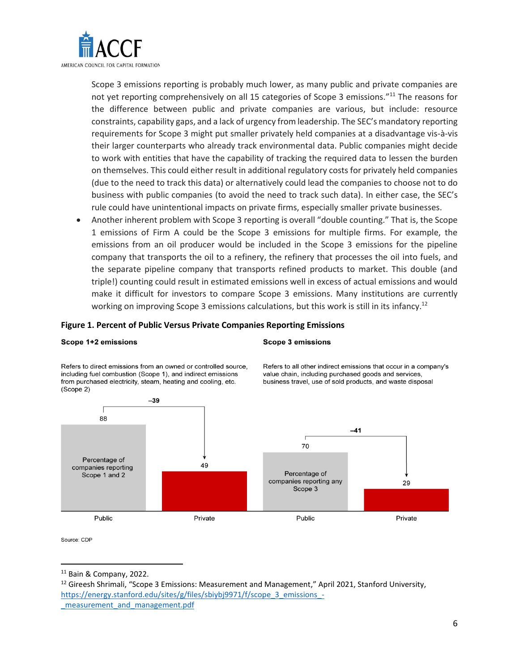

Scope 3 emissions reporting is probably much lower, as many public and private companies are not yet reporting comprehensively on all 15 categories of Scope 3 emissions."<sup>11</sup> The reasons for the difference between public and private companies are various, but include: resource constraints, capability gaps, and a lack of urgency from leadership. The SEC's mandatory reporting requirements for Scope 3 might put smaller privately held companies at a disadvantage vis-à-vis their larger counterparts who already track environmental data. Public companies might decide to work with entities that have the capability of tracking the required data to lessen the burden on themselves. This could either result in additional regulatory costs for privately held companies (due to the need to track this data) or alternatively could lead the companies to choose not to do business with public companies (to avoid the need to track such data). In either case, the SEC's rule could have unintentional impacts on private firms, especially smaller private businesses.

• Another inherent problem with Scope 3 reporting is overall "double counting." That is, the Scope 1 emissions of Firm A could be the Scope 3 emissions for multiple firms. For example, the emissions from an oil producer would be included in the Scope 3 emissions for the pipeline company that transports the oil to a refinery, the refinery that processes the oil into fuels, and the separate pipeline company that transports refined products to market. This double (and triple!) counting could result in estimated emissions well in excess of actual emissions and would make it difficult for investors to compare Scope 3 emissions. Many institutions are currently working on improving Scope 3 emissions calculations, but this work is still in its infancy.<sup>12</sup>

#### **Figure 1. Percent of Public Versus Private Companies Reporting Emissions**

#### Scope 1+2 emissions

#### **Scope 3 emissions**

Refers to direct emissions from an owned or controlled source, including fuel combustion (Scope 1), and indirect emissions from purchased electricity, steam, heating and cooling, etc. (Scope 2)

Refers to all other indirect emissions that occur in a company's value chain, including purchased goods and services, business travel, use of sold products, and waste disposal



Source: CDP

<sup>11</sup> Bain & Company, 2022.

<sup>&</sup>lt;sup>12</sup> Gireesh Shrimali, "Scope 3 Emissions: Measurement and Management," April 2021, Stanford University, [https://energy.stanford.edu/sites/g/files/sbiybj9971/f/scope\\_3\\_emissions\\_](https://energy.stanford.edu/sites/g/files/sbiybj9971/f/scope_3_emissions_-_measurement_and_management.pdf) measurement and management.pdf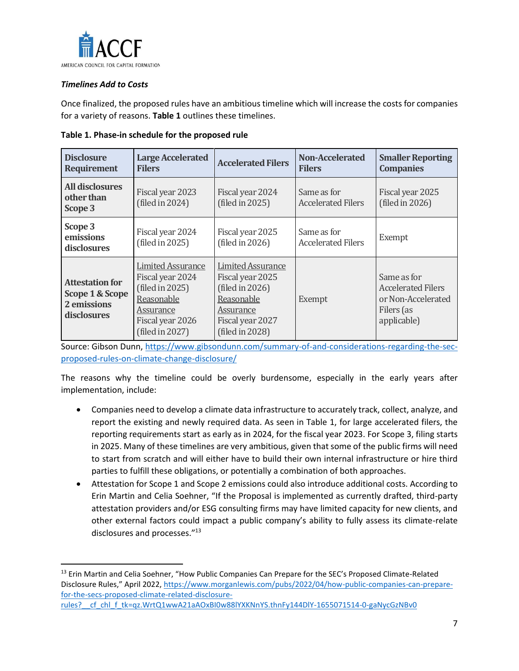

### *Timelines Add to Costs*

Once finalized, the proposed rules have an ambitious timeline which will increase the costs for companies for a variety of reasons. **Table 1** outlines these timelines.

| <b>Disclosure</b><br><b>Requirement</b>                                 | <b>Large Accelerated</b><br><b>Filers</b>                                                                                         | <b>Accelerated Filers</b>                                                                                                         | Non-Accelerated<br><b>Filers</b>         | <b>Smaller Reporting</b><br><b>Companies</b>                                                |
|-------------------------------------------------------------------------|-----------------------------------------------------------------------------------------------------------------------------------|-----------------------------------------------------------------------------------------------------------------------------------|------------------------------------------|---------------------------------------------------------------------------------------------|
| <b>All disclosures</b><br>other than<br>Scope 3                         | Fiscal year 2023<br>(filed in 2024)                                                                                               | Fiscal year 2024<br>(filed in 2025)                                                                                               | Same as for<br><b>Accelerated Filers</b> | Fiscal year 2025<br>(filed in 2026)                                                         |
| Scope 3<br>emissions<br>disclosures                                     | Fiscal year 2024<br>(filed in 2025)                                                                                               | Fiscal year 2025<br>(filed in $2026$ )                                                                                            | Same as for<br><b>Accelerated Filers</b> | Exempt                                                                                      |
| <b>Attestation for</b><br>Scope 1 & Scope<br>2 emissions<br>disclosures | <b>Limited Assurance</b><br>Fiscal year 2024<br>(filed in 2025)<br>Reasonable<br>Assurance<br>Fiscal year 2026<br>(filed in 2027) | <b>Limited Assurance</b><br>Fiscal year 2025<br>(filed in 2026)<br>Reasonable<br>Assurance<br>Fiscal year 2027<br>(filed in 2028) | Exempt                                   | Same as for<br><b>Accelerated Filers</b><br>or Non-Accelerated<br>Filers (as<br>applicable) |

#### **Table 1. Phase-in schedule for the proposed rule**

Source: Gibson Dunn, [https://www.gibsondunn.com/summary-of-and-considerations-regarding-the-sec](https://www.gibsondunn.com/summary-of-and-considerations-regarding-the-sec-proposed-rules-on-climate-change-disclosure/)[proposed-rules-on-climate-change-disclosure/](https://www.gibsondunn.com/summary-of-and-considerations-regarding-the-sec-proposed-rules-on-climate-change-disclosure/)

The reasons why the timeline could be overly burdensome, especially in the early years after implementation, include:

- Companies need to develop a climate data infrastructure to accurately track, collect, analyze, and report the existing and newly required data. As seen in Table 1, for large accelerated filers, the reporting requirements start as early as in 2024, for the fiscal year 2023. For Scope 3, filing starts in 2025. Many of these timelines are very ambitious, given that some of the public firms will need to start from scratch and will either have to build their own internal infrastructure or hire third parties to fulfill these obligations, or potentially a combination of both approaches.
- Attestation for Scope 1 and Scope 2 emissions could also introduce additional costs. According to Erin Martin and Celia Soehner, "If the Proposal is implemented as currently drafted, third-party attestation providers and/or ESG consulting firms may have limited capacity for new clients, and other external factors could impact a public company's ability to fully assess its climate-relate disclosures and processes."<sup>13</sup>

<sup>&</sup>lt;sup>13</sup> Erin Martin and Celia Soehner, "How Public Companies Can Prepare for the SEC's Proposed Climate-Related Disclosure Rules," April 2022, [https://www.morganlewis.com/pubs/2022/04/how-public-companies-can-prepare](https://www.morganlewis.com/pubs/2022/04/how-public-companies-can-prepare-for-the-secs-proposed-climate-related-disclosure-rules?__cf_chl_f_tk=qz.WrtQ1wwA21aAOxBI0w88lYXKNnYS.thnFy144DlY-1655071514-0-gaNycGzNBv0)[for-the-secs-proposed-climate-related-disclosure-](https://www.morganlewis.com/pubs/2022/04/how-public-companies-can-prepare-for-the-secs-proposed-climate-related-disclosure-rules?__cf_chl_f_tk=qz.WrtQ1wwA21aAOxBI0w88lYXKNnYS.thnFy144DlY-1655071514-0-gaNycGzNBv0)

rules? cf chl f tk=qz.WrtQ1wwA21aAOxBI0w88lYXKNnYS.thnFy144DlY-1655071514-0-gaNycGzNBv0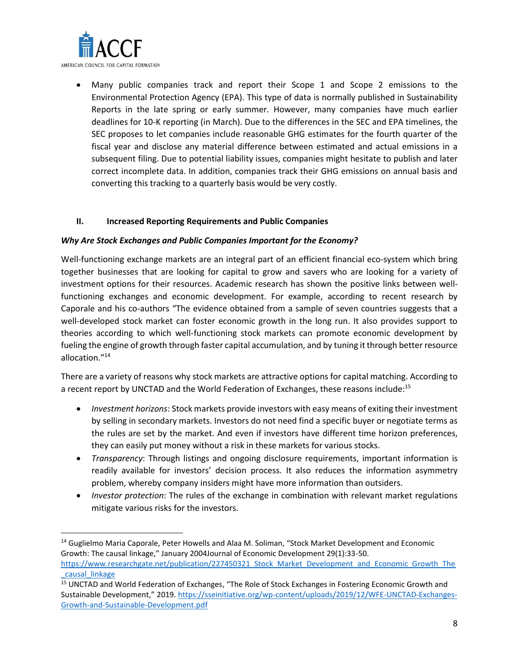

• Many public companies track and report their Scope 1 and Scope 2 emissions to the Environmental Protection Agency (EPA). This type of data is normally published in Sustainability Reports in the late spring or early summer. However, many companies have much earlier deadlines for 10-K reporting (in March). Due to the differences in the SEC and EPA timelines, the SEC proposes to let companies include reasonable GHG estimates for the fourth quarter of the fiscal year and disclose any material difference between estimated and actual emissions in a subsequent filing. Due to potential liability issues, companies might hesitate to publish and later correct incomplete data. In addition, companies track their GHG emissions on annual basis and converting this tracking to a quarterly basis would be very costly.

#### **II. Increased Reporting Requirements and Public Companies**

#### *Why Are Stock Exchanges and Public Companies Important for the Economy?*

Well-functioning exchange markets are an integral part of an efficient financial eco-system which bring together businesses that are looking for capital to grow and savers who are looking for a variety of investment options for their resources. Academic research has shown the positive links between wellfunctioning exchanges and economic development. For example, according to recent research by Caporale and his co-authors "The evidence obtained from a sample of seven countries suggests that a well-developed stock market can foster economic growth in the long run. It also provides support to theories according to which well-functioning stock markets can promote economic development by fueling the engine of growth through faster capital accumulation, and by tuning it through better resource allocation." 14

There are a variety of reasons why stock markets are attractive options for capital matching. According to a recent report by UNCTAD and the World Federation of Exchanges, these reasons include:<sup>15</sup>

- *Investment horizons*: Stock markets provide investors with easy means of exiting their investment by selling in secondary markets. Investors do not need find a specific buyer or negotiate terms as the rules are set by the market. And even if investors have different time horizon preferences, they can easily put money without a risk in these markets for various stocks.
- *Transparency*: Through listings and ongoing disclosure requirements, important information is readily available for investors' decision process. It also reduces the information asymmetry problem, whereby company insiders might have more information than outsiders.
- *Investor protection*: The rules of the exchange in combination with relevant market regulations mitigate various risks for the investors.

<sup>&</sup>lt;sup>14</sup> Guglielmo Maria Caporale, Peter Howells and Alaa M. Soliman, "Stock Market Development and Economic Growth: The causal linkage," January 2004Journal of Economic Development 29(1):33-50.

[https://www.researchgate.net/publication/227450321\\_Stock\\_Market\\_Development\\_and\\_Economic\\_Growth\\_The](https://www.researchgate.net/publication/227450321_Stock_Market_Development_and_Economic_Growth_The_causal_linkage) [\\_causal\\_linkage](https://www.researchgate.net/publication/227450321_Stock_Market_Development_and_Economic_Growth_The_causal_linkage)

<sup>&</sup>lt;sup>15</sup> UNCTAD and World Federation of Exchanges, "The Role of Stock Exchanges in Fostering Economic Growth and Sustainable Development," 2019. [https://sseinitiative.org/wp-content/uploads/2019/12/WFE-UNCTAD-Exchanges-](https://sseinitiative.org/wp-content/uploads/2019/12/WFE-UNCTAD-Exchanges-Growth-and-Sustainable-Development.pdf)[Growth-and-Sustainable-Development.pdf](https://sseinitiative.org/wp-content/uploads/2019/12/WFE-UNCTAD-Exchanges-Growth-and-Sustainable-Development.pdf)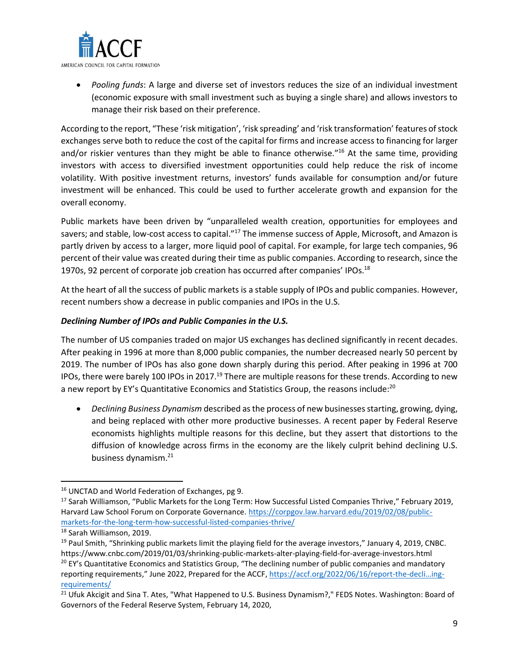

• *Pooling funds*: A large and diverse set of investors reduces the size of an individual investment (economic exposure with small investment such as buying a single share) and allows investors to manage their risk based on their preference.

According to the report, "These 'risk mitigation', 'risk spreading' and 'risk transformation' features of stock exchanges serve both to reduce the cost of the capital for firms and increase access to financing for larger and/or riskier ventures than they might be able to finance otherwise."<sup>16</sup> At the same time, providing investors with access to diversified investment opportunities could help reduce the risk of income volatility. With positive investment returns, investors' funds available for consumption and/or future investment will be enhanced. This could be used to further accelerate growth and expansion for the overall economy.

Public markets have been driven by "unparalleled wealth creation, opportunities for employees and savers; and stable, low-cost access to capital."<sup>17</sup> The immense success of Apple, Microsoft, and Amazon is partly driven by access to a larger, more liquid pool of capital. For example, for large tech companies, 96 percent of their value was created during their time as public companies. According to research, since the 1970s, 92 percent of corporate job creation has occurred after companies' IPOs.<sup>18</sup>

At the heart of all the success of public markets is a stable supply of IPOs and public companies. However, recent numbers show a decrease in public companies and IPOs in the U.S.

# *Declining Number of IPOs and Public Companies in the U.S.*

The number of US companies traded on major US exchanges has declined significantly in recent decades. After peaking in 1996 at more than 8,000 public companies, the number decreased nearly 50 percent by 2019. The number of IPOs has also gone down sharply during this period. After peaking in 1996 at 700 IPOs, there were barely 100 IPOs in 2017.<sup>19</sup> There are multiple reasons for these trends. According to new a new report by EY's Quantitative Economics and Statistics Group, the reasons include:<sup>20</sup>

• *Declining Business Dynamism* described as the process of new businesses starting, growing, dying, and being replaced with other more productive businesses. A recent paper by Federal Reserve economists highlights multiple reasons for this decline, but they assert that distortions to the diffusion of knowledge across firms in the economy are the likely culprit behind declining U.S. business dynamism.<sup>21</sup>

<sup>&</sup>lt;sup>16</sup> UNCTAD and World Federation of Exchanges, pg 9.

<sup>&</sup>lt;sup>17</sup> Sarah Williamson, "Public Markets for the Long Term: How Successful Listed Companies Thrive," February 2019, Harvard Law School Forum on Corporate Governance. [https://corpgov.law.harvard.edu/2019/02/08/public](https://corpgov.law.harvard.edu/2019/02/08/public-markets-for-the-long-term-how-successful-listed-companies-thrive/)[markets-for-the-long-term-how-successful-listed-companies-thrive/](https://corpgov.law.harvard.edu/2019/02/08/public-markets-for-the-long-term-how-successful-listed-companies-thrive/)

<sup>18</sup> Sarah Williamson, 2019.

 $19$  Paul Smith, "Shrinking public markets limit the playing field for the average investors," January 4, 2019, CNBC. https://www.cnbc.com/2019/01/03/shrinking-public-markets-alter-playing-field-for-average-investors.html <sup>20</sup> EY's Quantitative Economics and Statistics Group, "The declining number of public companies and mandatory reporting requirements," June 2022, Prepared for the ACCF, [https://accf.org/2022/06/16/report-the-](https://accf.org/2022/06/16/report-the-decli…ing-requirements/)decli…ing[requirements/](https://accf.org/2022/06/16/report-the-decli…ing-requirements/)

<sup>&</sup>lt;sup>21</sup> Ufuk Akcigit and Sina T. Ates, "What Happened to U.S. Business Dynamism?," FEDS Notes. Washington: Board of Governors of the Federal Reserve System, February 14, 2020,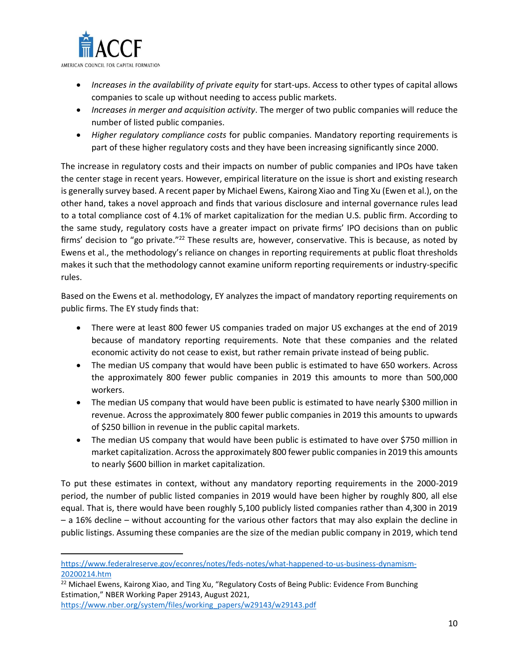

- *Increases in the availability of private equity* for start-ups. Access to other types of capital allows companies to scale up without needing to access public markets.
- *Increases in merger and acquisition activity*. The merger of two public companies will reduce the number of listed public companies.
- *Higher regulatory compliance costs* for public companies. Mandatory reporting requirements is part of these higher regulatory costs and they have been increasing significantly since 2000.

The increase in regulatory costs and their impacts on number of public companies and IPOs have taken the center stage in recent years. However, empirical literature on the issue is short and existing research is generally survey based. A recent paper by Michael Ewens, Kairong Xiao and Ting Xu (Ewen et al.), on the other hand, takes a novel approach and finds that various disclosure and internal governance rules lead to a total compliance cost of 4.1% of market capitalization for the median U.S. public firm. According to the same study, regulatory costs have a greater impact on private firms' IPO decisions than on public firms' decision to "go private."<sup>22</sup> These results are, however, conservative. This is because, as noted by Ewens et al., the methodology's reliance on changes in reporting requirements at public float thresholds makes it such that the methodology cannot examine uniform reporting requirements or industry-specific rules.

Based on the Ewens et al. methodology, EY analyzes the impact of mandatory reporting requirements on public firms. The EY study finds that:

- There were at least 800 fewer US companies traded on major US exchanges at the end of 2019 because of mandatory reporting requirements. Note that these companies and the related economic activity do not cease to exist, but rather remain private instead of being public.
- The median US company that would have been public is estimated to have 650 workers. Across the approximately 800 fewer public companies in 2019 this amounts to more than 500,000 workers.
- The median US company that would have been public is estimated to have nearly \$300 million in revenue. Across the approximately 800 fewer public companies in 2019 this amounts to upwards of \$250 billion in revenue in the public capital markets.
- The median US company that would have been public is estimated to have over \$750 million in market capitalization. Across the approximately 800 fewer public companies in 2019 this amounts to nearly \$600 billion in market capitalization.

To put these estimates in context, without any mandatory reporting requirements in the 2000-2019 period, the number of public listed companies in 2019 would have been higher by roughly 800, all else equal. That is, there would have been roughly 5,100 publicly listed companies rather than 4,300 in 2019 – a 16% decline – without accounting for the various other factors that may also explain the decline in public listings. Assuming these companies are the size of the median public company in 2019, which tend

[https://www.federalreserve.gov/econres/notes/feds-notes/what-happened-to-us-business-dynamism-](https://www.federalreserve.gov/econres/notes/feds-notes/what-happened-to-us-business-dynamism-20200214.htm)[20200214.htm](https://www.federalreserve.gov/econres/notes/feds-notes/what-happened-to-us-business-dynamism-20200214.htm)

<sup>&</sup>lt;sup>22</sup> Michael Ewens, Kairong Xiao, and Ting Xu, "Regulatory Costs of Being Public: Evidence From Bunching Estimation," NBER Working Paper 29143, August 2021,

[https://www.nber.org/system/files/working\\_papers/w29143/w29143.pdf](https://www.nber.org/system/files/working_papers/w29143/w29143.pdf)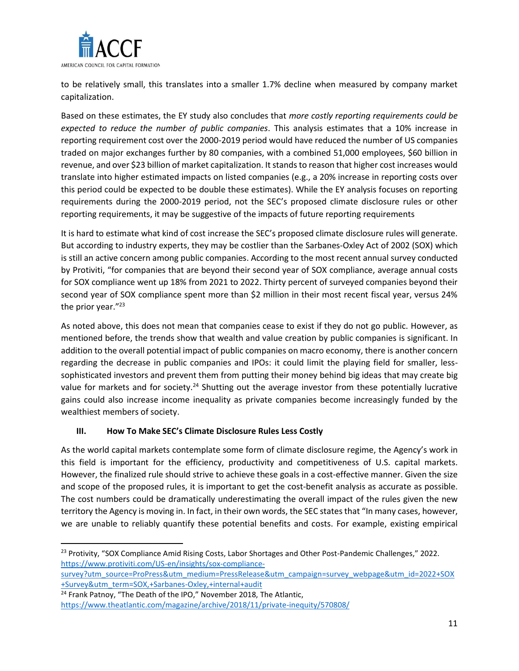

to be relatively small, this translates into a smaller 1.7% decline when measured by company market capitalization.

Based on these estimates, the EY study also concludes that *more costly reporting requirements could be expected to reduce the number of public companies*. This analysis estimates that a 10% increase in reporting requirement cost over the 2000-2019 period would have reduced the number of US companies traded on major exchanges further by 80 companies, with a combined 51,000 employees, \$60 billion in revenue, and over \$23 billion of market capitalization. It stands to reason that higher cost increases would translate into higher estimated impacts on listed companies (e.g., a 20% increase in reporting costs over this period could be expected to be double these estimates). While the EY analysis focuses on reporting requirements during the 2000-2019 period, not the SEC's proposed climate disclosure rules or other reporting requirements, it may be suggestive of the impacts of future reporting requirements

It is hard to estimate what kind of cost increase the SEC's proposed climate disclosure rules will generate. But according to industry experts, they may be costlier than the Sarbanes-Oxley Act of 2002 (SOX) which is still an active concern among public companies. According to the most recent annual survey conducted by Protiviti, "for companies that are beyond their second year of SOX compliance, average annual costs for SOX compliance went up 18% from 2021 to 2022. Thirty percent of surveyed companies beyond their second year of SOX compliance spent more than \$2 million in their most recent fiscal year, versus 24% the prior year."<sup>23</sup>

As noted above, this does not mean that companies cease to exist if they do not go public. However, as mentioned before, the trends show that wealth and value creation by public companies is significant. In addition to the overall potential impact of public companies on macro economy, there is another concern regarding the decrease in public companies and IPOs: it could limit the playing field for smaller, lesssophisticated investors and prevent them from putting their money behind big ideas that may create big value for markets and for society.<sup>24</sup> Shutting out the average investor from these potentially lucrative gains could also increase income inequality as private companies become increasingly funded by the wealthiest members of society.

# **III. How To Make SEC's Climate Disclosure Rules Less Costly**

As the world capital markets contemplate some form of climate disclosure regime, the Agency's work in this field is important for the efficiency, productivity and competitiveness of U.S. capital markets. However, the finalized rule should strive to achieve these goals in a cost-effective manner. Given the size and scope of the proposed rules, it is important to get the cost-benefit analysis as accurate as possible. The cost numbers could be dramatically underestimating the overall impact of the rules given the new territory the Agency is moving in. In fact, in their own words, the SEC states that "In many cases, however, we are unable to reliably quantify these potential benefits and costs. For example, existing empirical

<sup>&</sup>lt;sup>23</sup> Protivity, "SOX Compliance Amid Rising Costs, Labor Shortages and Other Post-Pandemic Challenges," 2022. [https://www.protiviti.com/US-en/insights/sox-compliance-](https://www.protiviti.com/US-en/insights/sox-compliance-survey?utm_source=ProPress&utm_medium=PressRelease&utm_campaign=survey_webpage&utm_id=2022+SOX+Survey&utm_term=SOX,+Sarbanes-Oxley,+internal+audit)

[survey?utm\\_source=ProPress&utm\\_medium=PressRelease&utm\\_campaign=survey\\_webpage&utm\\_id=2022+SOX](https://www.protiviti.com/US-en/insights/sox-compliance-survey?utm_source=ProPress&utm_medium=PressRelease&utm_campaign=survey_webpage&utm_id=2022+SOX+Survey&utm_term=SOX,+Sarbanes-Oxley,+internal+audit) [+Survey&utm\\_term=SOX,+Sarbanes-Oxley,+internal+audit](https://www.protiviti.com/US-en/insights/sox-compliance-survey?utm_source=ProPress&utm_medium=PressRelease&utm_campaign=survey_webpage&utm_id=2022+SOX+Survey&utm_term=SOX,+Sarbanes-Oxley,+internal+audit)

<sup>&</sup>lt;sup>24</sup> Frank Patnoy, "The Death of the IPO," November 2018, The Atlantic, <https://www.theatlantic.com/magazine/archive/2018/11/private-inequity/570808/>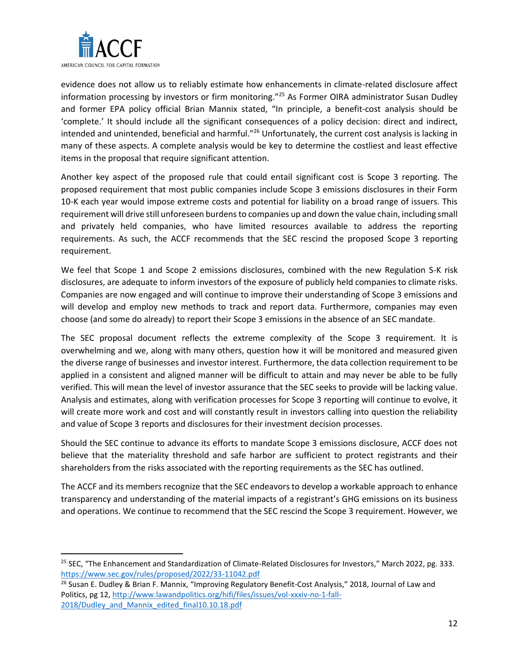

evidence does not allow us to reliably estimate how enhancements in climate-related disclosure affect information processing by investors or firm monitoring." <sup>25</sup> As Former OIRA administrator Susan Dudley and former EPA policy official Brian Mannix stated, "In principle, a benefit-cost analysis should be 'complete.' It should include all the significant consequences of a policy decision: direct and indirect, intended and unintended, beneficial and harmful."<sup>26</sup> Unfortunately, the current cost analysis is lacking in many of these aspects. A complete analysis would be key to determine the costliest and least effective items in the proposal that require significant attention.

Another key aspect of the proposed rule that could entail significant cost is Scope 3 reporting. The proposed requirement that most public companies include Scope 3 emissions disclosures in their Form 10-K each year would impose extreme costs and potential for liability on a broad range of issuers. This requirement will drive still unforeseen burdens to companies up and down the value chain, including small and privately held companies, who have limited resources available to address the reporting requirements. As such, the ACCF recommends that the SEC rescind the proposed Scope 3 reporting requirement.

We feel that Scope 1 and Scope 2 emissions disclosures, combined with the new Regulation S-K risk disclosures, are adequate to inform investors of the exposure of publicly held companies to climate risks. Companies are now engaged and will continue to improve their understanding of Scope 3 emissions and will develop and employ new methods to track and report data. Furthermore, companies may even choose (and some do already) to report their Scope 3 emissions in the absence of an SEC mandate.

The SEC proposal document reflects the extreme complexity of the Scope 3 requirement. It is overwhelming and we, along with many others, question how it will be monitored and measured given the diverse range of businesses and investor interest. Furthermore, the data collection requirement to be applied in a consistent and aligned manner will be difficult to attain and may never be able to be fully verified. This will mean the level of investor assurance that the SEC seeks to provide will be lacking value. Analysis and estimates, along with verification processes for Scope 3 reporting will continue to evolve, it will create more work and cost and will constantly result in investors calling into question the reliability and value of Scope 3 reports and disclosures for their investment decision processes.

Should the SEC continue to advance its efforts to mandate Scope 3 emissions disclosure, ACCF does not believe that the materiality threshold and safe harbor are sufficient to protect registrants and their shareholders from the risks associated with the reporting requirements as the SEC has outlined.

The ACCF and its members recognize that the SEC endeavors to develop a workable approach to enhance transparency and understanding of the material impacts of a registrant's GHG emissions on its business and operations. We continue to recommend that the SEC rescind the Scope 3 requirement. However, we

<sup>&</sup>lt;sup>25</sup> SEC, "The Enhancement and Standardization of Climate-Related Disclosures for Investors," March 2022, pg. 333. <https://www.sec.gov/rules/proposed/2022/33-11042.pdf>

<sup>&</sup>lt;sup>26</sup> Susan E. Dudley & Brian F. Mannix, "Improving Regulatory Benefit-Cost Analysis," 2018, Journal of Law and Politics, pg 12[, http://www.lawandpolitics.org/hifi/files/issues/vol-xxxiv-no-1-fall-](http://www.lawandpolitics.org/hifi/files/issues/vol-xxxiv-no-1-fall-2018/Dudley_and_Mannix_edited_final10.10.18.pdf)[2018/Dudley\\_and\\_Mannix\\_edited\\_final10.10.18.pdf](http://www.lawandpolitics.org/hifi/files/issues/vol-xxxiv-no-1-fall-2018/Dudley_and_Mannix_edited_final10.10.18.pdf)